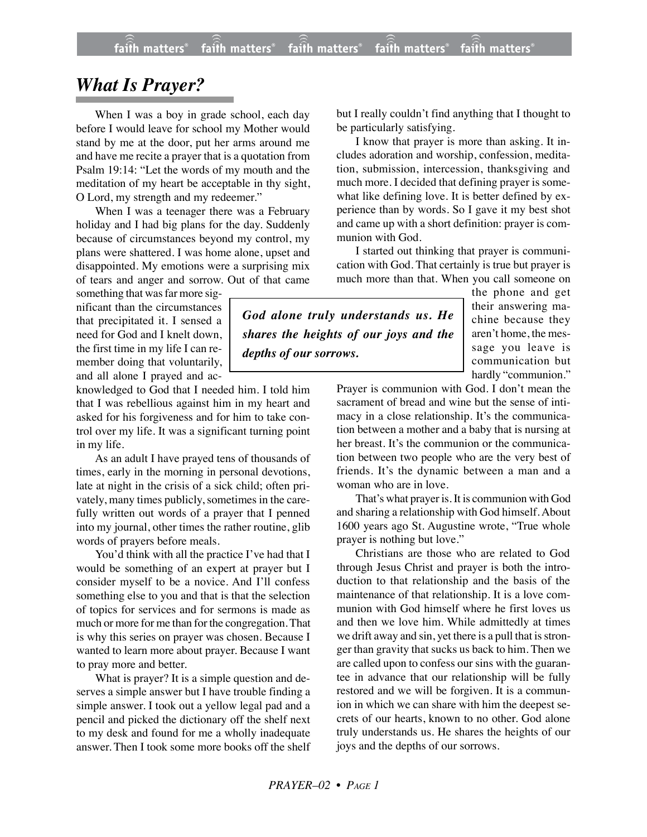## *What Is Prayer?*

When I was a boy in grade school, each day before I would leave for school my Mother would stand by me at the door, put her arms around me and have me recite a prayer that is a quotation from Psalm 19:14: "Let the words of my mouth and the meditation of my heart be acceptable in thy sight, O Lord, my strength and my redeemer."

When I was a teenager there was a February holiday and I had big plans for the day. Suddenly because of circumstances beyond my control, my plans were shattered. I was home alone, upset and disappointed. My emotions were a surprising mix of tears and anger and sorrow. Out of that came

something that was far more significant than the circumstances that precipitated it. I sensed a need for God and I knelt down, the first time in my life I can remember doing that voluntarily, and all alone I prayed and ac-

knowledged to God that I needed him. I told him that I was rebellious against him in my heart and asked for his forgiveness and for him to take control over my life. It was a significant turning point in my life.

As an adult I have prayed tens of thousands of times, early in the morning in personal devotions, late at night in the crisis of a sick child; often privately, many times publicly, sometimes in the carefully written out words of a prayer that I penned into my journal, other times the rather routine, glib words of prayers before meals.

You'd think with all the practice I've had that I would be something of an expert at prayer but I consider myself to be a novice. And I'll confess something else to you and that is that the selection of topics for services and for sermons is made as much or more for me than for the congregation. That is why this series on prayer was chosen. Because I wanted to learn more about prayer. Because I want to pray more and better.

What is prayer? It is a simple question and deserves a simple answer but I have trouble finding a simple answer. I took out a yellow legal pad and a pencil and picked the dictionary off the shelf next to my desk and found for me a wholly inadequate answer. Then I took some more books off the shelf but I really couldn't find anything that I thought to be particularly satisfying.

I know that prayer is more than asking. It includes adoration and worship, confession, meditation, submission, intercession, thanksgiving and much more. I decided that defining prayer is somewhat like defining love. It is better defined by experience than by words. So I gave it my best shot and came up with a short definition: prayer is communion with God.

I started out thinking that prayer is communication with God. That certainly is true but prayer is much more than that. When you call someone on

*God alone truly understands us. He shares the heights of our joys and the depths of our sorrows.*

the phone and get their answering machine because they aren't home, the message you leave is communication but hardly "communion."

Prayer is communion with God. I don't mean the sacrament of bread and wine but the sense of intimacy in a close relationship. It's the communication between a mother and a baby that is nursing at her breast. It's the communion or the communication between two people who are the very best of friends. It's the dynamic between a man and a woman who are in love.

That's what prayer is. It is communion with God and sharing a relationship with God himself. About 1600 years ago St. Augustine wrote, "True whole prayer is nothing but love."

Christians are those who are related to God through Jesus Christ and prayer is both the introduction to that relationship and the basis of the maintenance of that relationship. It is a love communion with God himself where he first loves us and then we love him. While admittedly at times we drift away and sin, yet there is a pull that is stronger than gravity that sucks us back to him. Then we are called upon to confess our sins with the guarantee in advance that our relationship will be fully restored and we will be forgiven. It is a communion in which we can share with him the deepest secrets of our hearts, known to no other. God alone truly understands us. He shares the heights of our joys and the depths of our sorrows.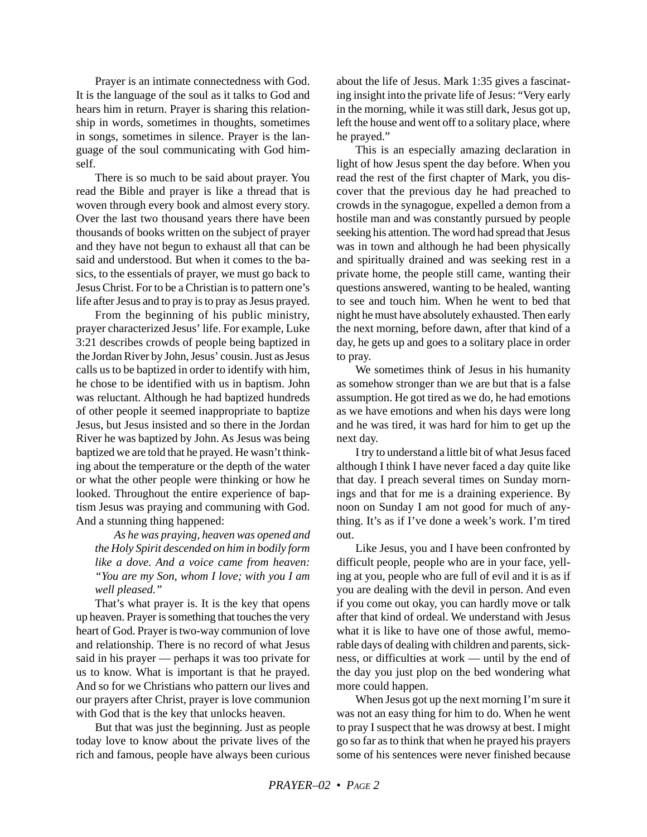Prayer is an intimate connectedness with God. It is the language of the soul as it talks to God and hears him in return. Prayer is sharing this relationship in words, sometimes in thoughts, sometimes in songs, sometimes in silence. Prayer is the language of the soul communicating with God himself.

There is so much to be said about prayer. You read the Bible and prayer is like a thread that is woven through every book and almost every story. Over the last two thousand years there have been thousands of books written on the subject of prayer and they have not begun to exhaust all that can be said and understood. But when it comes to the basics, to the essentials of prayer, we must go back to Jesus Christ. For to be a Christian is to pattern one's life after Jesus and to pray is to pray as Jesus prayed.

From the beginning of his public ministry, prayer characterized Jesus' life. For example, Luke 3:21 describes crowds of people being baptized in the Jordan River by John, Jesus' cousin. Just as Jesus calls us to be baptized in order to identify with him, he chose to be identified with us in baptism. John was reluctant. Although he had baptized hundreds of other people it seemed inappropriate to baptize Jesus, but Jesus insisted and so there in the Jordan River he was baptized by John. As Jesus was being baptized we are told that he prayed. He wasn't thinking about the temperature or the depth of the water or what the other people were thinking or how he looked. Throughout the entire experience of baptism Jesus was praying and communing with God. And a stunning thing happened:

*As he was praying, heaven was opened and the Holy Spirit descended on him in bodily form like a dove. And a voice came from heaven: "You are my Son, whom I love; with you I am well pleased."*

That's what prayer is. It is the key that opens up heaven. Prayer is something that touches the very heart of God. Prayer is two-way communion of love and relationship. There is no record of what Jesus said in his prayer — perhaps it was too private for us to know. What is important is that he prayed. And so for we Christians who pattern our lives and our prayers after Christ, prayer is love communion with God that is the key that unlocks heaven.

But that was just the beginning. Just as people today love to know about the private lives of the rich and famous, people have always been curious about the life of Jesus. Mark 1:35 gives a fascinating insight into the private life of Jesus: "Very early in the morning, while it was still dark, Jesus got up, left the house and went off to a solitary place, where he prayed."

This is an especially amazing declaration in light of how Jesus spent the day before. When you read the rest of the first chapter of Mark, you discover that the previous day he had preached to crowds in the synagogue, expelled a demon from a hostile man and was constantly pursued by people seeking his attention. The word had spread that Jesus was in town and although he had been physically and spiritually drained and was seeking rest in a private home, the people still came, wanting their questions answered, wanting to be healed, wanting to see and touch him. When he went to bed that night he must have absolutely exhausted. Then early the next morning, before dawn, after that kind of a day, he gets up and goes to a solitary place in order to pray.

We sometimes think of Jesus in his humanity as somehow stronger than we are but that is a false assumption. He got tired as we do, he had emotions as we have emotions and when his days were long and he was tired, it was hard for him to get up the next day.

I try to understand a little bit of what Jesus faced although I think I have never faced a day quite like that day. I preach several times on Sunday mornings and that for me is a draining experience. By noon on Sunday I am not good for much of anything. It's as if I've done a week's work. I'm tired out.

Like Jesus, you and I have been confronted by difficult people, people who are in your face, yelling at you, people who are full of evil and it is as if you are dealing with the devil in person. And even if you come out okay, you can hardly move or talk after that kind of ordeal. We understand with Jesus what it is like to have one of those awful, memorable days of dealing with children and parents, sickness, or difficulties at work — until by the end of the day you just plop on the bed wondering what more could happen.

When Jesus got up the next morning I'm sure it was not an easy thing for him to do. When he went to pray I suspect that he was drowsy at best. I might go so far as to think that when he prayed his prayers some of his sentences were never finished because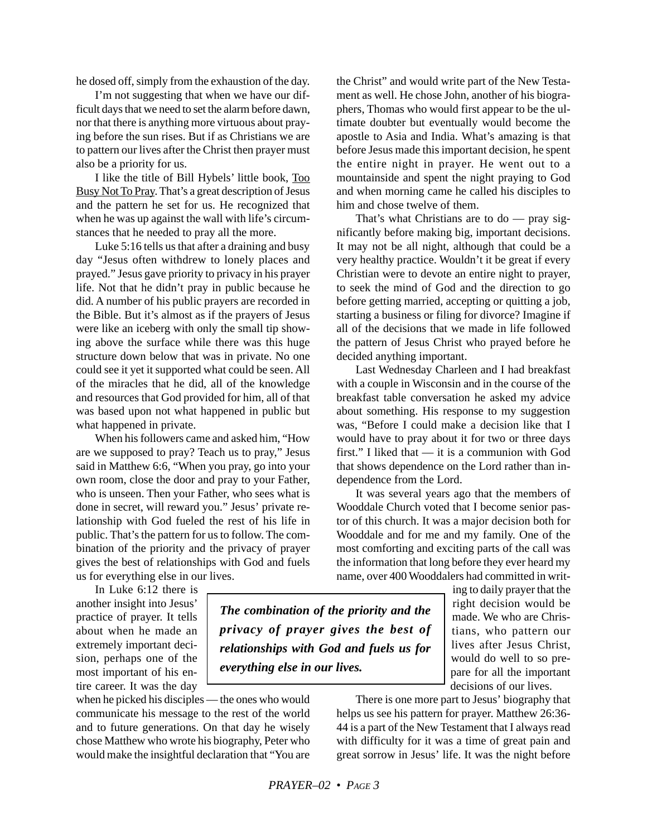he dosed off, simply from the exhaustion of the day.

I'm not suggesting that when we have our difficult days that we need to set the alarm before dawn, nor that there is anything more virtuous about praying before the sun rises. But if as Christians we are to pattern our lives after the Christ then prayer must also be a priority for us.

I like the title of Bill Hybels' little book, Too Busy Not To Pray. That's a great description of Jesus and the pattern he set for us. He recognized that when he was up against the wall with life's circumstances that he needed to pray all the more.

Luke 5:16 tells us that after a draining and busy day "Jesus often withdrew to lonely places and prayed." Jesus gave priority to privacy in his prayer life. Not that he didn't pray in public because he did. A number of his public prayers are recorded in the Bible. But it's almost as if the prayers of Jesus were like an iceberg with only the small tip showing above the surface while there was this huge structure down below that was in private. No one could see it yet it supported what could be seen. All of the miracles that he did, all of the knowledge and resources that God provided for him, all of that was based upon not what happened in public but what happened in private.

When his followers came and asked him, "How are we supposed to pray? Teach us to pray," Jesus said in Matthew 6:6, "When you pray, go into your own room, close the door and pray to your Father, who is unseen. Then your Father, who sees what is done in secret, will reward you." Jesus' private relationship with God fueled the rest of his life in public. That's the pattern for us to follow. The combination of the priority and the privacy of prayer gives the best of relationships with God and fuels us for everything else in our lives.

In Luke 6:12 there is another insight into Jesus' practice of prayer. It tells about when he made an extremely important decision, perhaps one of the most important of his entire career. It was the day

when he picked his disciples — the ones who would communicate his message to the rest of the world and to future generations. On that day he wisely chose Matthew who wrote his biography, Peter who would make the insightful declaration that "You are the Christ" and would write part of the New Testament as well. He chose John, another of his biographers, Thomas who would first appear to be the ultimate doubter but eventually would become the apostle to Asia and India. What's amazing is that before Jesus made this important decision, he spent the entire night in prayer. He went out to a mountainside and spent the night praying to God and when morning came he called his disciples to him and chose twelve of them.

That's what Christians are to do — pray significantly before making big, important decisions. It may not be all night, although that could be a very healthy practice. Wouldn't it be great if every Christian were to devote an entire night to prayer, to seek the mind of God and the direction to go before getting married, accepting or quitting a job, starting a business or filing for divorce? Imagine if all of the decisions that we made in life followed the pattern of Jesus Christ who prayed before he decided anything important.

Last Wednesday Charleen and I had breakfast with a couple in Wisconsin and in the course of the breakfast table conversation he asked my advice about something. His response to my suggestion was, "Before I could make a decision like that I would have to pray about it for two or three days first." I liked that — it is a communion with God that shows dependence on the Lord rather than independence from the Lord.

It was several years ago that the members of Wooddale Church voted that I become senior pastor of this church. It was a major decision both for Wooddale and for me and my family. One of the most comforting and exciting parts of the call was the information that long before they ever heard my name, over 400 Wooddalers had committed in writ-

*The combination of the priority and the privacy of prayer gives the best of relationships with God and fuels us for everything else in our lives.*

ing to daily prayer that the right decision would be made. We who are Christians, who pattern our lives after Jesus Christ, would do well to so prepare for all the important decisions of our lives.

There is one more part to Jesus' biography that helps us see his pattern for prayer. Matthew 26:36- 44 is a part of the New Testament that I always read with difficulty for it was a time of great pain and great sorrow in Jesus' life. It was the night before